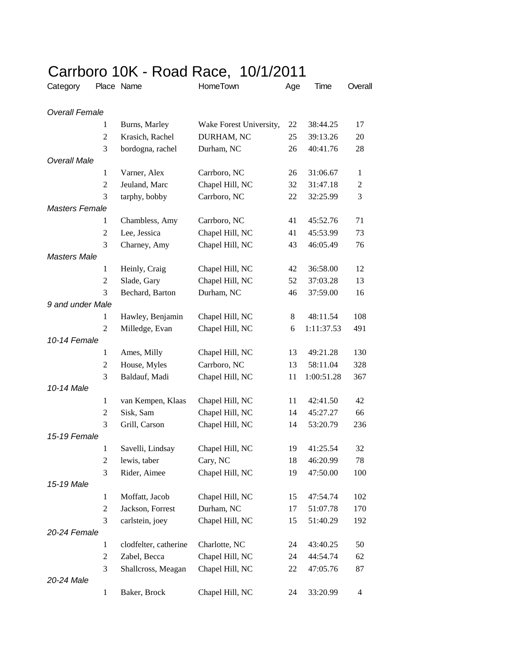| 91 I N<br>Category    | vı v           | 1011 11000 11000<br>Place Name | $\sqrt{2}$ $\sqrt{2}$<br>HomeTown | Age | Time       | Overall        |
|-----------------------|----------------|--------------------------------|-----------------------------------|-----|------------|----------------|
|                       |                |                                |                                   |     |            |                |
| <b>Overall Female</b> |                |                                |                                   |     |            |                |
|                       | 1              | Burns, Marley                  | Wake Forest University,           | 22  | 38:44.25   | 17             |
|                       | 2              | Krasich, Rachel                | DURHAM, NC                        | 25  | 39:13.26   | 20             |
|                       | 3              | bordogna, rachel               | Durham, NC                        | 26  | 40:41.76   | 28             |
| <b>Overall Male</b>   |                |                                |                                   |     |            |                |
|                       | 1              | Varner, Alex                   | Carrboro, NC                      | 26  | 31:06.67   | 1              |
|                       | $\overline{2}$ | Jeuland, Marc                  | Chapel Hill, NC                   | 32  | 31:47.18   | $\overline{c}$ |
|                       | 3              | tarphy, bobby                  | Carrboro, NC                      | 22  | 32:25.99   | 3              |
| <b>Masters Female</b> |                |                                |                                   |     |            |                |
|                       | 1              | Chambless, Amy                 | Carrboro, NC                      | 41  | 45:52.76   | 71             |
|                       | $\overline{2}$ | Lee, Jessica                   | Chapel Hill, NC                   | 41  | 45:53.99   | 73             |
|                       | 3              | Charney, Amy                   | Chapel Hill, NC                   | 43  | 46:05.49   | 76             |
| <b>Masters Male</b>   |                |                                |                                   |     |            |                |
|                       | $\mathbf{1}$   | Heinly, Craig                  | Chapel Hill, NC                   | 42  | 36:58.00   | 12             |
|                       | $\overline{2}$ | Slade, Gary                    | Chapel Hill, NC                   | 52  | 37:03.28   | 13             |
|                       | 3              | Bechard, Barton                | Durham, NC                        | 46  | 37:59.00   | 16             |
| 9 and under Male      |                |                                |                                   |     |            |                |
|                       | $\mathbf{1}$   | Hawley, Benjamin               | Chapel Hill, NC                   | 8   | 48:11.54   | 108            |
|                       | $\overline{2}$ | Milledge, Evan                 | Chapel Hill, NC                   | 6   | 1:11:37.53 | 491            |
| 10-14 Female          |                |                                |                                   |     |            |                |
|                       | 1              | Ames, Milly                    | Chapel Hill, NC                   | 13  | 49:21.28   | 130            |
|                       | $\mathfrak{2}$ | House, Myles                   | Carrboro, NC                      | 13  | 58:11.04   | 328            |
|                       | 3              | Baldauf, Madi                  | Chapel Hill, NC                   | 11  | 1:00:51.28 | 367            |
| 10-14 Male            |                |                                |                                   |     |            |                |
|                       | $\mathbf{1}$   | van Kempen, Klaas              | Chapel Hill, NC                   | 11  | 42:41.50   | 42             |
|                       | $\sqrt{2}$     | Sisk, Sam                      | Chapel Hill, NC                   | 14  | 45:27.27   | 66             |
|                       | 3              | Grill, Carson                  | Chapel Hill, NC                   | 14  | 53:20.79   | 236            |
| 15-19 Female          |                |                                |                                   |     |            |                |
|                       | 1              | Savelli, Lindsay               | Chapel Hill, NC                   | 19  | 41:25.54   | 32             |
|                       | 2              | lewis, taber                   | Cary, NC                          | 18  | 46:20.99   | 78             |
|                       | 3              | Rider, Aimee                   | Chapel Hill, NC                   | 19  | 47:50.00   | 100            |
| 15-19 Male            |                |                                |                                   |     |            |                |
|                       | $\mathbf{1}$   | Moffatt, Jacob                 | Chapel Hill, NC                   | 15  | 47:54.74   | 102            |
|                       | $\overline{c}$ | Jackson, Forrest               | Durham, NC                        | 17  | 51:07.78   | 170            |
|                       | 3              | carlstein, joey                | Chapel Hill, NC                   | 15  | 51:40.29   | 192            |
| 20-24 Female          |                |                                |                                   |     |            |                |
|                       | $\mathbf{1}$   | clodfelter, catherine          | Charlotte, NC                     | 24  | 43:40.25   | 50             |
|                       | $\overline{c}$ | Zabel, Becca                   | Chapel Hill, NC                   | 24  | 44:54.74   | 62             |
|                       | 3              | Shallcross, Meagan             | Chapel Hill, NC                   | 22  | 47:05.76   | 87             |
| 20-24 Male            |                |                                |                                   |     |            |                |
|                       | $\mathbf{1}$   | Baker, Brock                   | Chapel Hill, NC                   | 24  | 33:20.99   | 4              |

## Carrboro 10K - Road Race, 10/1/2011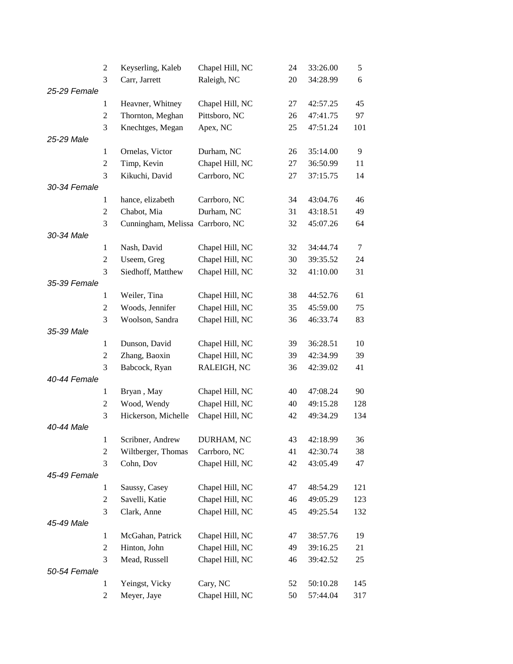|              | $\overline{c}$ | Keyserling, Kaleb                | Chapel Hill, NC | 24     | 33:26.00 | 5      |
|--------------|----------------|----------------------------------|-----------------|--------|----------|--------|
|              | 3              | Carr, Jarrett                    | Raleigh, NC     | $20\,$ | 34:28.99 | 6      |
| 25-29 Female |                |                                  |                 |        |          |        |
|              | 1              | Heavner, Whitney                 | Chapel Hill, NC | 27     | 42:57.25 | 45     |
|              | $\overline{c}$ | Thornton, Meghan                 | Pittsboro, NC   | 26     | 47:41.75 | 97     |
|              | 3              | Knechtges, Megan                 | Apex, NC        | 25     | 47:51.24 | 101    |
| 25-29 Male   |                |                                  |                 |        |          |        |
|              | $\mathbf{1}$   | Ornelas, Victor                  | Durham, NC      | 26     | 35:14.00 | 9      |
|              | $\mathfrak{2}$ | Timp, Kevin                      | Chapel Hill, NC | 27     | 36:50.99 | 11     |
|              | 3              | Kikuchi, David                   | Carrboro, NC    | 27     | 37:15.75 | 14     |
| 30-34 Female |                |                                  |                 |        |          |        |
|              | $\mathbf{1}$   | hance, elizabeth                 | Carrboro, NC    | 34     | 43:04.76 | 46     |
|              | $\overline{c}$ | Chabot, Mia                      | Durham, NC      | 31     | 43:18.51 | 49     |
|              | 3              | Cunningham, Melissa Carrboro, NC |                 | 32     | 45:07.26 | 64     |
| 30-34 Male   |                |                                  |                 |        |          |        |
|              | $\mathbf{1}$   | Nash, David                      | Chapel Hill, NC | 32     | 34:44.74 | $\tau$ |
|              | $\overline{c}$ | Useem, Greg                      | Chapel Hill, NC | 30     | 39:35.52 | 24     |
|              | 3              | Siedhoff, Matthew                | Chapel Hill, NC | 32     | 41:10.00 | 31     |
| 35-39 Female |                |                                  |                 |        |          |        |
|              | $\mathbf{1}$   | Weiler, Tina                     | Chapel Hill, NC | 38     | 44:52.76 | 61     |
|              | $\overline{c}$ | Woods, Jennifer                  | Chapel Hill, NC | 35     | 45:59.00 | 75     |
|              | 3              | Woolson, Sandra                  | Chapel Hill, NC | 36     | 46:33.74 | 83     |
| 35-39 Male   |                |                                  |                 |        |          |        |
|              | $\mathbf{1}$   | Dunson, David                    | Chapel Hill, NC | 39     | 36:28.51 | 10     |
|              | $\overline{c}$ | Zhang, Baoxin                    | Chapel Hill, NC | 39     | 42:34.99 | 39     |
|              | 3              | Babcock, Ryan                    | RALEIGH, NC     | 36     | 42:39.02 | 41     |
| 40-44 Female |                |                                  |                 |        |          |        |
|              | 1              | Bryan, May                       | Chapel Hill, NC | 40     | 47:08.24 | 90     |
|              | $\overline{c}$ | Wood, Wendy                      | Chapel Hill, NC | 40     | 49:15.28 | 128    |
|              | 3              | Hickerson, Michelle              | Chapel Hill, NC | 42     | 49:34.29 | 134    |
| 40-44 Male   |                |                                  |                 |        |          |        |
|              | $\mathbf{1}$   | Scribner, Andrew                 | DURHAM, NC      | 43     | 42:18.99 | 36     |
|              | $\overline{c}$ | Wiltberger, Thomas               | Carrboro, NC    | 41     | 42:30.74 | 38     |
|              | 3              | Cohn, Dov                        | Chapel Hill, NC | 42     | 43:05.49 | 47     |
| 45-49 Female |                |                                  |                 |        |          |        |
|              | $\mathbf{1}$   | Saussy, Casey                    | Chapel Hill, NC | 47     | 48:54.29 | 121    |
|              | $\overline{c}$ | Savelli, Katie                   | Chapel Hill, NC | 46     | 49:05.29 | 123    |
|              | 3              | Clark, Anne                      | Chapel Hill, NC | 45     | 49:25.54 | 132    |
| 45-49 Male   |                |                                  |                 |        |          |        |
|              | 1              | McGahan, Patrick                 | Chapel Hill, NC | 47     | 38:57.76 | 19     |
|              | $\overline{c}$ | Hinton, John                     | Chapel Hill, NC | 49     | 39:16.25 | 21     |
|              | 3              | Mead, Russell                    | Chapel Hill, NC | 46     | 39:42.52 | 25     |
| 50-54 Female |                |                                  |                 |        |          |        |
|              | $\mathbf{1}$   | Yeingst, Vicky                   | Cary, NC        | 52     | 50:10.28 | 145    |
|              | 2              | Meyer, Jaye                      | Chapel Hill, NC | 50     | 57:44.04 | 317    |